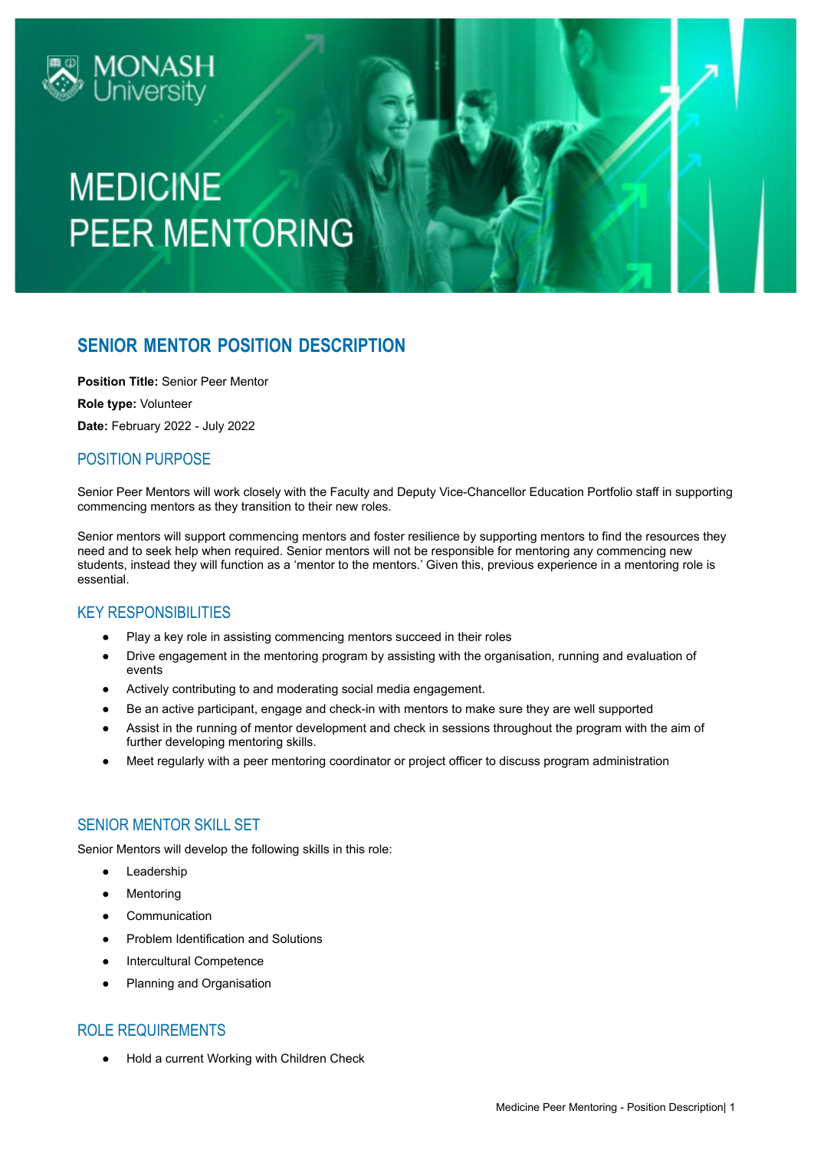

# **MEDICINE PEER MENTORING**

# **SENIOR MENTOR POSITION DESCRIPTION**

**Position Title:** Senior Peer Mentor

**Role type:** Volunteer

**Date:** February 2022 - July 2022

# POSITION PURPOSE

Senior Peer Mentors will work closely with the Faculty and Deputy Vice-Chancellor Education Portfolio staff in supporting commencing mentors as they transition to their new roles.

Senior mentors will support commencing mentors and foster resilience by supporting mentors to find the resources they need and to seek help when required. Senior mentors will not be responsible for mentoring any commencing new students, instead they will function as a 'mentor to the mentors.' Given this, previous experience in a mentoring role is essential.

## KEY RESPONSIBILITIES

- Play a key role in assisting commencing mentors succeed in their roles
- Drive engagement in the mentoring program by assisting with the organisation, running and evaluation of events
- Actively contributing to and moderating social media engagement.
- Be an active participant, engage and check-in with mentors to make sure they are well supported
- Assist in the running of mentor development and check in sessions throughout the program with the aim of further developing mentoring skills.
- Meet regularly with a peer mentoring coordinator or project officer to discuss program administration

## SENIOR MENTOR SKILL SET

Senior Mentors will develop the following skills in this role:

- Leadership
- Mentoring
- Communication
- Problem Identification and Solutions
- Intercultural Competence
- Planning and Organisation

#### ROLE REQUIREMENTS

● Hold a current Working with Children Check